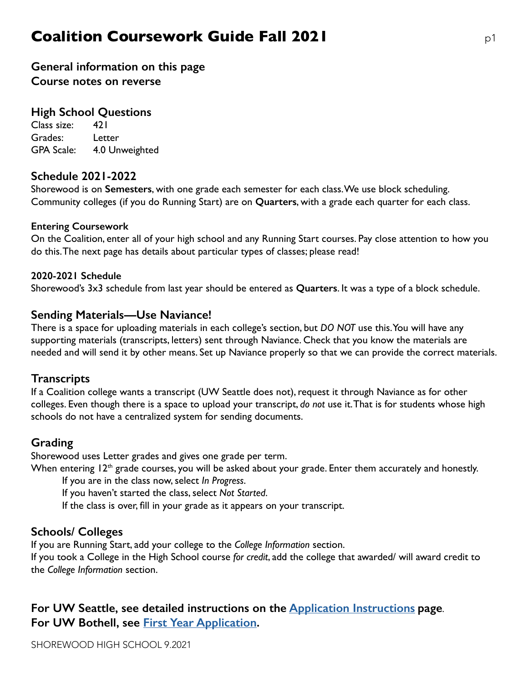# **Coalition Coursework Guide Fall 2021 pdf p1**

## **General information on this page Course notes on reverse**

#### **High School Questions**

Class size: 421 Grades: Letter GPA Scale: 4.0 Unweighted

#### **Schedule 2021-2022**

Shorewood is on **Semesters**, with one grade each semester for each class. We use block scheduling. Community colleges (if you do Running Start) are on **Quarters**, with a grade each quarter for each class.

#### **Entering Coursework**

On the Coalition, enter all of your high school and any Running Start courses. Pay close attention to how you do this. The next page has details about particular types of classes; please read!

#### **2020-2021 Schedule**

Shorewood's 3x3 schedule from last year should be entered as **Quarters**. It was a type of a block schedule.

#### **Sending Materials—Use Naviance!**

There is a space for uploading materials in each college's section, but *DO NOT* use this. You will have any supporting materials (transcripts, letters) sent through Naviance. Check that you know the materials are needed and will send it by other means. Set up Naviance properly so that we can provide the correct materials.

#### **Transcripts**

If a Coalition college wants a transcript (UW Seattle does not), request it through Naviance as for other colleges. Even though there is a space to upload your transcript, *do not* use it. That is for students whose high schools do not have a centralized system for sending documents.

### **Grading**

Shorewood uses Letter grades and gives one grade per term.

When entering  $12<sup>th</sup>$  grade courses, you will be asked about your grade. Enter them accurately and honestly.

If you are in the class now, select *In Progress*.

If you haven't started the class, select *Not Started*.

 If the class is over, fill in your grade as it appears on your transcript.

### **Schools/ Colleges**

If you are Running Start, add your college to the *College Information* section.

If you took a College in the High School course *for credit*, add the college that awarded/ will award credit to the *College Information* section.

## **For UW Seattle, see detailed instructions on the [Application Instructions](https://admit.washington.edu/apply/freshman/how-to-apply/application-instructions/) page**. **For UW Bothell, see [First Year Application.](https://www.uwb.edu/admissions/apply/firstyear/application)**